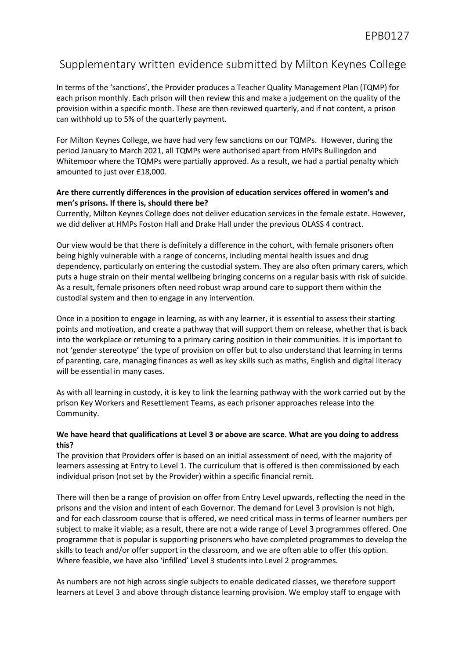## Supplementary written evidence submitted by Milton Keynes College

In terms of the 'sanctions', the Provider produces a Teacher Quality Management Plan (TQMP) for each prison monthly. Each prison will then review this and make a judgement on the quality of the provision within a specific month. These are then reviewed quarterly, and if not content, a prison can withhold up to 5% of the quarterly payment.

For Milton Keynes College, we have had very few sanctions on our TQMPs. However, during the period January to March 2021, all TQMPs were authorised apart from HMPs Bullingdon and Whitemoor where the TQMPs were partially approved. As a result, we had a partial penalty which amounted to just over £18,000.

## **Are there currently differences in the provision of education services offered in women's and men's prisons. If there is, should there be?**

Currently, Milton Keynes College does not deliver education services in the female estate. However, we did deliver at HMPs Foston Hall and Drake Hall under the previous OLASS 4 contract.

Our view would be that there is definitely a difference in the cohort, with female prisoners often being highly vulnerable with a range of concerns, including mental health issues and drug dependency, particularly on entering the custodial system. They are also often primary carers, which puts a huge strain on their mental wellbeing bringing concerns on a regular basis with risk of suicide. As a result, female prisoners often need robust wrap around care to support them within the custodial system and then to engage in any intervention.

Once in a position to engage in learning, as with any learner, it is essential to assess their starting points and motivation, and create a pathway that will support them on release, whether that is back into the workplace or returning to a primary caring position in their communities. It is important to not 'gender stereotype' the type of provision on offer but to also understand that learning in terms of parenting, care, managing finances as well as key skills such as maths, English and digital literacy will be essential in many cases.

As with all learning in custody, it is key to link the learning pathway with the work carried out by the prison Key Workers and Resettlement Teams, as each prisoner approaches release into the Community.

## **We have heard that qualifications at Level 3 or above are scarce. What are you doing to address this?**

The provision that Providers offer is based on an initial assessment of need, with the majority of learners assessing at Entry to Level 1. The curriculum that is offered is then commissioned by each individual prison (not set by the Provider) within a specific financial remit.

There will then be a range of provision on offer from Entry Level upwards, reflecting the need in the prisons and the vision and intent of each Governor. The demand for Level 3 provision is not high, and for each classroom course that is offered, we need critical mass in terms of learner numbers per subject to make it viable; as a result, there are not a wide range of Level 3 programmes offered. One programme that is popular is supporting prisoners who have completed programmes to develop the skills to teach and/or offer support in the classroom, and we are often able to offer this option. Where feasible, we have also 'infilled' Level 3 students into Level 2 programmes.

As numbers are not high across single subjects to enable dedicated classes, we therefore support learners at Level 3 and above through distance learning provision. We employ staff to engage with